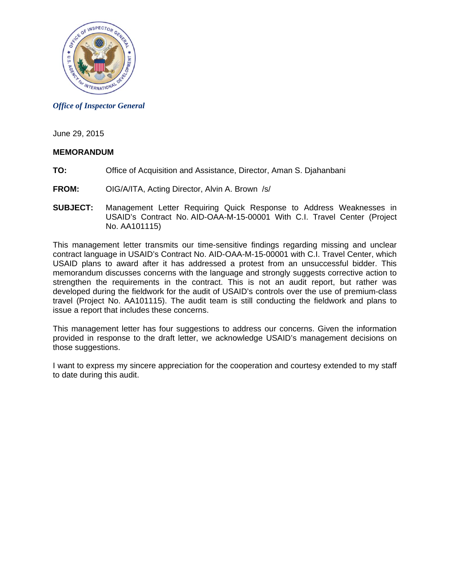

*Office of Inspector General* 

June 29, 2015

## **MEMORANDUM**

- **TO:** Office of Acquisition and Assistance, Director, Aman S. Djahanbani
- **FROM:** OIG/A/ITA, Acting Director, Alvin A. Brown /s/
- **SUBJECT:** Management Letter Requiring Quick Response to Address Weaknesses in USAID's Contract No. AID-OAA-M-15-00001 With C.I. Travel Center (Project No. AA101115)

This management letter transmits our time-sensitive findings regarding missing and unclear contract language in USAID's Contract No. AID-OAA-M-15-00001 with C.I. Travel Center, which USAID plans to award after it has addressed a protest from an unsuccessful bidder. This memorandum discusses concerns with the language and strongly suggests corrective action to strengthen the requirements in the contract. This is not an audit report, but rather was developed during the fieldwork for the audit of USAID's controls over the use of premium-class travel (Project No. AA101115). The audit team is still conducting the fieldwork and plans to issue a report that includes these concerns.

This management letter has four suggestions to address our concerns. Given the information provided in response to the draft letter, we acknowledge USAID's management decisions on those suggestions.

I want to express my sincere appreciation for the cooperation and courtesy extended to my staff to date during this audit.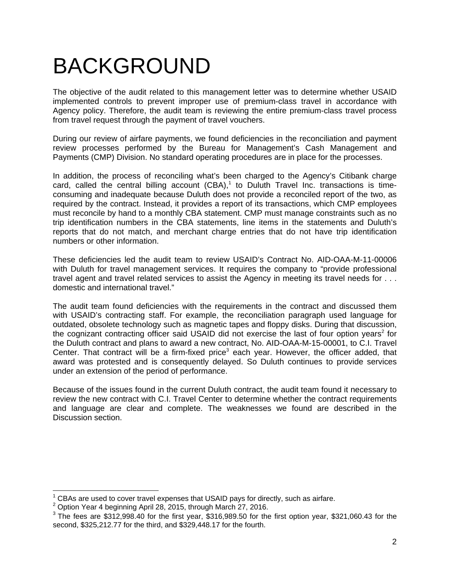# BACKGROUND

The objective of the audit related to this management letter was to determine whether USAID implemented controls to prevent improper use of premium-class travel in accordance with Agency policy. Therefore, the audit team is reviewing the entire premium-class travel process from travel request through the payment of travel vouchers.

During our review of airfare payments, we found deficiencies in the reconciliation and payment review processes performed by the Bureau for Management's Cash Management and Payments (CMP) Division. No standard operating procedures are in place for the processes.

In addition, the process of reconciling what's been charged to the Agency's Citibank charge card, called the central billing account  $(CBA)$ ,<sup>1</sup> to Duluth Travel Inc. transactions is timeconsuming and inadequate because Duluth does not provide a reconciled report of the two, as required by the contract. Instead, it provides a report of its transactions, which CMP employees must reconcile by hand to a monthly CBA statement. CMP must manage constraints such as no trip identification numbers in the CBA statements, line items in the statements and Duluth's reports that do not match, and merchant charge entries that do not have trip identification numbers or other information.

 travel agent and travel related services to assist the Agency in meeting its travel needs for . . . These deficiencies led the audit team to review USAID's Contract No. AID-OAA-M-11-00006 with Duluth for travel management services. It requires the company to "provide professional domestic and international travel."

The audit team found deficiencies with the requirements in the contract and discussed them with USAID's contracting staff. For example, the reconciliation paragraph used language for outdated, obsolete technology such as magnetic tapes and floppy disks. During that discussion, the cognizant contracting officer said USAID did not exercise the last of four option years<sup>2</sup> for the Duluth contract and plans to award a new contract, No. AID-OAA-M-15-00001, to C.I. Travel Center. That contract will be a firm-fixed price<sup>3</sup> each year. However, the officer added, that award was protested and is consequently delayed. So Duluth continues to provide services under an extension of the period of performance.

Because of the issues found in the current Duluth contract, the audit team found it necessary to review the new contract with C.I. Travel Center to determine whether the contract requirements and language are clear and complete. The weaknesses we found are described in the Discussion section.

<sup>&</sup>lt;sup>1</sup> CBAs are used to cover travel expenses that USAID pays for directly, such as airfare.

<sup>&</sup>lt;sup>2</sup> Option Year 4 beginning April 28, 2015, through March 27, 2016.

 $3$  The fees are \$312,998.40 for the first year, \$316,989.50 for the first option year, \$321,060.43 for the second, \$325,212.77 for the third, and \$329,448.17 for the fourth.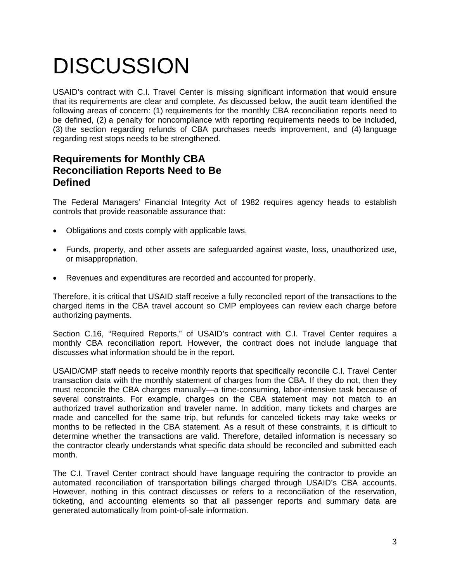# **DISCUSSION**

USAID's contract with C.I. Travel Center is missing significant information that would ensure that its requirements are clear and complete. As discussed below, the audit team identified the following areas of concern: (1) requirements for the monthly CBA reconciliation reports need to be defined, (2) a penalty for noncompliance with reporting requirements needs to be included, (3) the section regarding refunds of CBA purchases needs improvement, and (4) language regarding rest stops needs to be strengthened.

# **Requirements for Monthly CBA Reconciliation Reports Need to Be Defined**

The Federal Managers' Financial Integrity Act of 1982 requires agency heads to establish controls that provide reasonable assurance that:

- Obligations and costs comply with applicable laws.
- Funds, property, and other assets are safeguarded against waste, loss, unauthorized use, or misappropriation.
- Revenues and expenditures are recorded and accounted for properly.

Therefore, it is critical that USAID staff receive a fully reconciled report of the transactions to the charged items in the CBA travel account so CMP employees can review each charge before authorizing payments.

Section C.16, "Required Reports," of USAID's contract with C.I. Travel Center requires a monthly CBA reconciliation report. However, the contract does not include language that discusses what information should be in the report.

USAID/CMP staff needs to receive monthly reports that specifically reconcile C.I. Travel Center transaction data with the monthly statement of charges from the CBA. If they do not, then they must reconcile the CBA charges manually—a time-consuming, labor-intensive task because of several constraints. For example, charges on the CBA statement may not match to an authorized travel authorization and traveler name. In addition, many tickets and charges are made and cancelled for the same trip, but refunds for canceled tickets may take weeks or months to be reflected in the CBA statement. As a result of these constraints, it is difficult to determine whether the transactions are valid. Therefore, detailed information is necessary so the contractor clearly understands what specific data should be reconciled and submitted each month.

The C.I. Travel Center contract should have language requiring the contractor to provide an automated reconciliation of transportation billings charged through USAID's CBA accounts. However, nothing in this contract discusses or refers to a reconciliation of the reservation, ticketing, and accounting elements so that all passenger reports and summary data are generated automatically from point-of-sale information.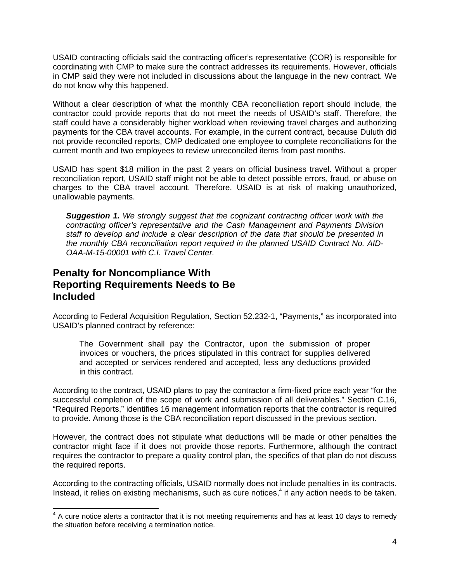USAID contracting officials said the contracting officer's representative (COR) is responsible for coordinating with CMP to make sure the contract addresses its requirements. However, officials in CMP said they were not included in discussions about the language in the new contract. We do not know why this happened.

Without a clear description of what the monthly CBA reconciliation report should include, the contractor could provide reports that do not meet the needs of USAID's staff. Therefore, the staff could have a considerably higher workload when reviewing travel charges and authorizing payments for the CBA travel accounts. For example, in the current contract, because Duluth did not provide reconciled reports, CMP dedicated one employee to complete reconciliations for the current month and two employees to review unreconciled items from past months.

USAID has spent \$18 million in the past 2 years on official business travel. Without a proper reconciliation report, USAID staff might not be able to detect possible errors, fraud, or abuse on charges to the CBA travel account. Therefore, USAID is at risk of making unauthorized, unallowable payments.

*Suggestion 1. We strongly suggest that the cognizant contracting officer work with the contracting officer's representative and the Cash Management and Payments Division staff to develop and include a clear description of the data that should be presented in the monthly CBA reconciliation report required in the planned USAID Contract No. AID-OAA-M-15-00001 with C.I. Travel Center.* 

# **Penalty for Noncompliance With Reporting Requirements Needs to Be Included**

According to Federal Acquisition Regulation, Section 52.232-1, "Payments," as incorporated into USAID's planned contract by reference:

The Government shall pay the Contractor, upon the submission of proper invoices or vouchers, the prices stipulated in this contract for supplies delivered and accepted or services rendered and accepted, less any deductions provided in this contract.

According to the contract, USAID plans to pay the contractor a firm-fixed price each year "for the successful completion of the scope of work and submission of all deliverables." Section C.16, "Required Reports," identifies 16 management information reports that the contractor is required to provide. Among those is the CBA reconciliation report discussed in the previous section.

However, the contract does not stipulate what deductions will be made or other penalties the contractor might face if it does not provide those reports. Furthermore, although the contract requires the contractor to prepare a quality control plan, the specifics of that plan do not discuss the required reports.

According to the contracting officials, USAID normally does not include penalties in its contracts. Instead, it relies on existing mechanisms, such as cure notices, $4$  if any action needs to be taken.

A cure notice alerts a contractor that it is not meeting requirements and has at least 10 days to remedy<br>A cure notice alerts a contractor that it is not meeting requirements and has at least 10 days to remedy the situation before receiving a termination notice.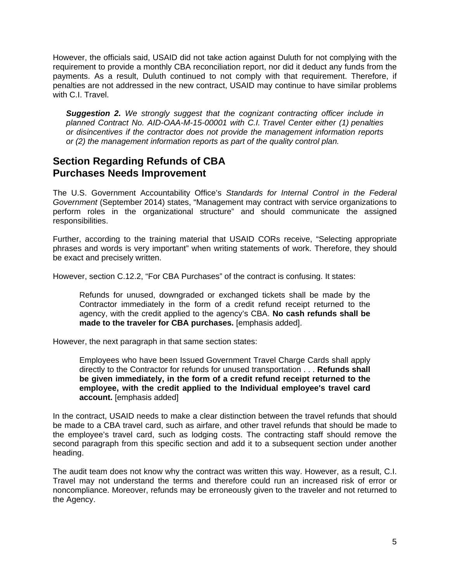However, the officials said, USAID did not take action against Duluth for not complying with the requirement to provide a monthly CBA reconciliation report, nor did it deduct any funds from the payments. As a result, Duluth continued to not comply with that requirement. Therefore, if penalties are not addressed in the new contract, USAID may continue to have similar problems with C.I. Travel.

*Suggestion 2. We strongly suggest that the cognizant contracting officer include in planned Contract No. AID-OAA-M-15-00001 with C.I. Travel Center either (1) penalties or disincentives if the contractor does not provide the management information reports or (2) the management information reports as part of the quality control plan.* 

# **Section Regarding Refunds of CBA Purchases Needs Improvement**

The U.S. Government Accountability Office's *Standards for Internal Control in the Federal Government* (September 2014) states, "Management may contract with service organizations to perform roles in the organizational structure" and should communicate the assigned responsibilities.

Further, according to the training material that USAID CORs receive, "Selecting appropriate phrases and words is very important" when writing statements of work. Therefore, they should be exact and precisely written.

However, section C.12.2, "For CBA Purchases" of the contract is confusing. It states:

Refunds for unused, downgraded or exchanged tickets shall be made by the Contractor immediately in the form of a credit refund receipt returned to the agency, with the credit applied to the agency's CBA. **No cash refunds shall be made to the traveler for CBA purchases.** [emphasis added].

However, the next paragraph in that same section states:

Employees who have been Issued Government Travel Charge Cards shall apply directly to the Contractor for refunds for unused transportation . . . **Refunds shall be given immediately, in the form of a credit refund receipt returned to the employee, with the credit applied to the Individual employee's travel card account.** [emphasis added]

In the contract, USAID needs to make a clear distinction between the travel refunds that should be made to a CBA travel card, such as airfare, and other travel refunds that should be made to the employee's travel card, such as lodging costs. The contracting staff should remove the second paragraph from this specific section and add it to a subsequent section under another heading.

the Agency. The audit team does not know why the contract was written this way. However, as a result, C.I. Travel may not understand the terms and therefore could run an increased risk of error or noncompliance. Moreover, refunds may be erroneously given to the traveler and not returned to the Agency.<br>5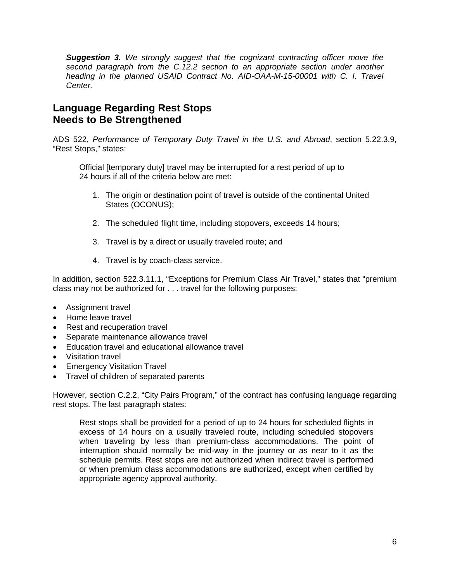*Suggestion 3. We strongly suggest that the cognizant contracting officer move the second paragraph from the C.12.2 section to an appropriate section under another*  heading in the planned USAID Contract No. AID-OAA-M-15-00001 with C. I. Travel *Center.* 

# **Language Regarding Rest Stops Needs to Be Strengthened**

ADS 522, *Performance of Temporary Duty Travel in the U.S. and Abroad*, section 5.22.3.9, "Rest Stops," states:

Official [temporary duty] travel may be interrupted for a rest period of up to 24 hours if all of the criteria below are met:

- 1. The origin or destination point of travel is outside of the continental United States (OCONUS);
- 2. The scheduled flight time, including stopovers, exceeds 14 hours;
- 3. Travel is by a direct or usually traveled route; and
- 4. Travel is by coach-class service.

In addition, section 522.3.11.1, "Exceptions for Premium Class Air Travel," states that "premium class may not be authorized for . . . travel for the following purposes:

- Assignment travel
- Home leave travel
- Rest and recuperation travel
- Separate maintenance allowance travel
- Education travel and educational allowance travel
- Visitation travel
- Emergency Visitation Travel
- Travel of children of separated parents

However, section C.2.2, "City Pairs Program," of the contract has confusing language regarding rest stops. The last paragraph states:

interruption should normally be mid-way in the journey or as near to it as the Rest stops shall be provided for a period of up to 24 hours for scheduled flights in excess of 14 hours on a usually traveled route, including scheduled stopovers when traveling by less than premium-class accommodations. The point of schedule permits. Rest stops are not authorized when indirect travel is performed or when premium class accommodations are authorized, except when certified by appropriate agency approval authority.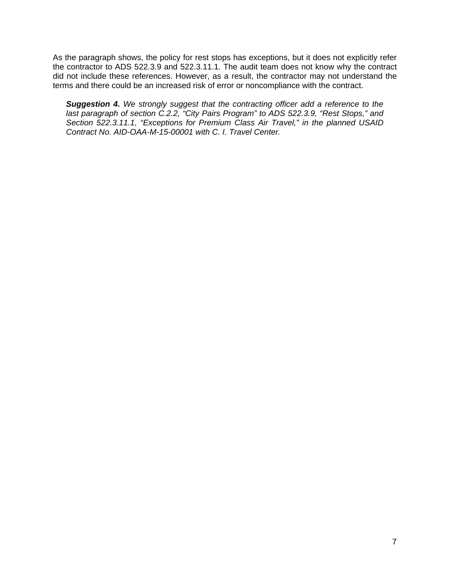terms and there could be an increased risk of error or noncompliance with the contract. As the paragraph shows, the policy for rest stops has exceptions, but it does not explicitly refer the contractor to ADS 522.3.9 and 522.3.11.1. The audit team does not know why the contract did not include these references. However, as a result, the contractor may not understand the

**Suggestion 4.** We strongly suggest that the contracting officer add a reference to the *last paragraph of section C.2.2, "City Pairs Program" to ADS 522.3.9, "Rest Stops," and Section 522.3.11.1, "Exceptions for Premium Class Air Travel," in the planned USAID Contract No. AID-OAA-M-15-00001 with C. I. Travel Center.*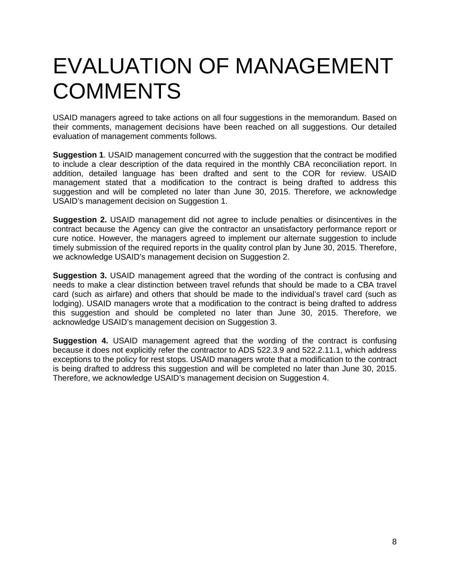# EVALUATION OF MANAGEMENT **COMMENTS**

USAID managers agreed to take actions on all four suggestions in the memorandum. Based on their comments, management decisions have been reached on all suggestions. Our detailed evaluation of management comments follows.

 USAID's management decision on Suggestion 1. **Suggestion 1**. USAID management concurred with the suggestion that the contract be modified to include a clear description of the data required in the monthly CBA reconciliation report. In addition, detailed language has been drafted and sent to the COR for review. USAID management stated that a modification to the contract is being drafted to address this suggestion and will be completed no later than June 30, 2015. Therefore, we acknowledge

**Suggestion 2.** USAID management did not agree to include penalties or disincentives in the contract because the Agency can give the contractor an unsatisfactory performance report or cure notice. However, the managers agreed to implement our alternate suggestion to include timely submission of the required reports in the quality control plan by June 30, 2015. Therefore, we acknowledge USAID's management decision on Suggestion 2.

**Suggestion 3.** USAID management agreed that the wording of the contract is confusing and needs to make a clear distinction between travel refunds that should be made to a CBA travel card (such as airfare) and others that should be made to the individual's travel card (such as lodging). USAID managers wrote that a modification to the contract is being drafted to address this suggestion and should be completed no later than June 30, 2015. Therefore, we acknowledge USAID's management decision on Suggestion 3.

**Suggestion 4.** USAID management agreed that the wording of the contract is confusing because it does not explicitly refer the contractor to ADS 522.3.9 and 522.2.11.1, which address exceptions to the policy for rest stops. USAID managers wrote that a modification to the contract is being drafted to address this suggestion and will be completed no later than June 30, 2015. Therefore, we acknowledge USAID's management decision on Suggestion 4.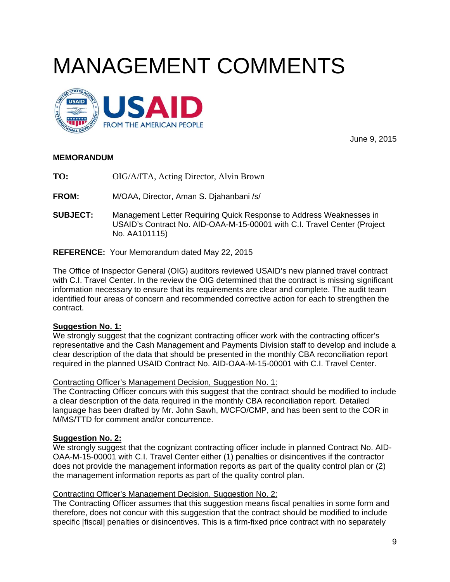# MANAGEMENT COMMENTS



June 9, 2015

## **MEMORANDUM**

TO: **TO:** OIG/A/ITA, Acting Director, Alvin Brown

**FROM:** M/OAA, Director, Aman S. Djahanbani /s/

**SUBJECT: Management Letter Requiring Quick Response to Address Weaknesses in** USAID's Contract No. AID-OAA-M-15-00001 with C.I. Travel Center (Project No. AA101115)

**REFERENCE:** Your Memorandum dated May 22, 2015

The Office of Inspector General (OIG) auditors reviewed USAID's new planned travel contract with C.I. Travel Center. In the review the OIG determined that the contract is missing significant information necessary to ensure that its requirements are clear and complete. The audit team identified four areas of concern and recommended corrective action for each to strengthen the contract.

## **Suggestion No. 1:**

We strongly suggest that the cognizant contracting officer work with the contracting officer's representative and the Cash Management and Payments Division staff to develop and include a clear description of the data that should be presented in the monthly CBA reconciliation report required in the planned USAID Contract No. AID-OAA-M-15-00001 with C.I. Travel Center.

## Contracting Officer's Management Decision, Suggestion No. 1:

The Contracting Officer concurs with this suggest that the contract should be modified to include a clear description of the data required in the monthly CBA reconciliation report. Detailed language has been drafted by Mr. John Sawh, M/CFO/CMP, and has been sent to the COR in M/MS/TTD for comment and/or concurrence.

## **Suggestion No. 2:**

We strongly suggest that the cognizant contracting officer include in planned Contract No. AID-OAA-M-15-00001 with C.I. Travel Center either (1) penalties or disincentives if the contractor does not provide the management information reports as part of the quality control plan or (2) the management information reports as part of the quality control plan.

## Contracting Officer's Management Decision, Suggestion No. 2:

The Contracting Officer assumes that this suggestion means fiscal penalties in some form and therefore, does not concur with this suggestion that the contract should be modified to include specific [fiscal] penalties or disincentives. This is a firm-fixed price contract with no separately